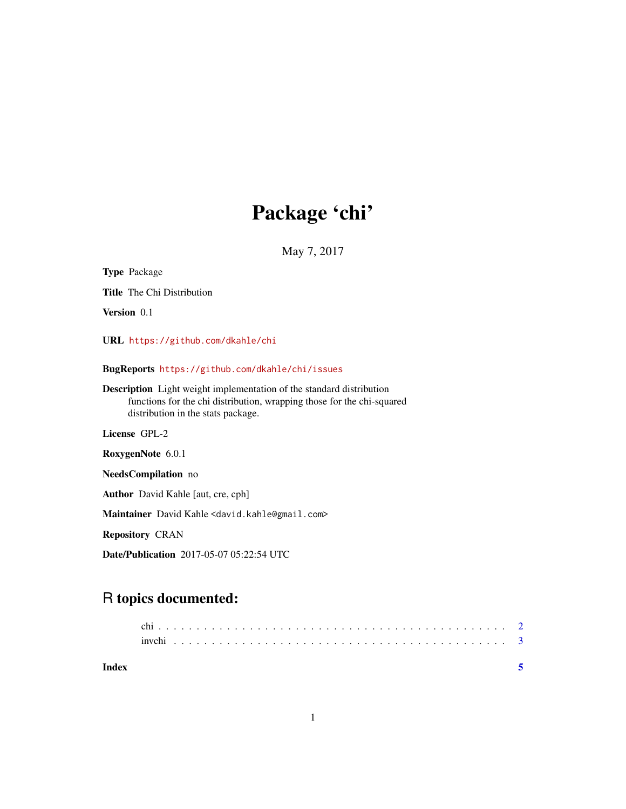## Package 'chi'

May 7, 2017

Title The Chi Distribution Version 0.1 URL <https://github.com/dkahle/chi> BugReports <https://github.com/dkahle/chi/issues> Description Light weight implementation of the standard distribution functions for the chi distribution, wrapping those for the chi-squared distribution in the stats package. License GPL-2 RoxygenNote 6.0.1 NeedsCompilation no

Author David Kahle [aut, cre, cph]

Maintainer David Kahle <david.kahle@gmail.com>

Repository CRAN

<span id="page-0-0"></span>Type Package

Date/Publication 2017-05-07 05:22:54 UTC

### R topics documented:

**Index** [5](#page-4-0). The second state of the second state of the second state of the second state of the second state of the second state of the second state of the second state of the second state of the second state of the second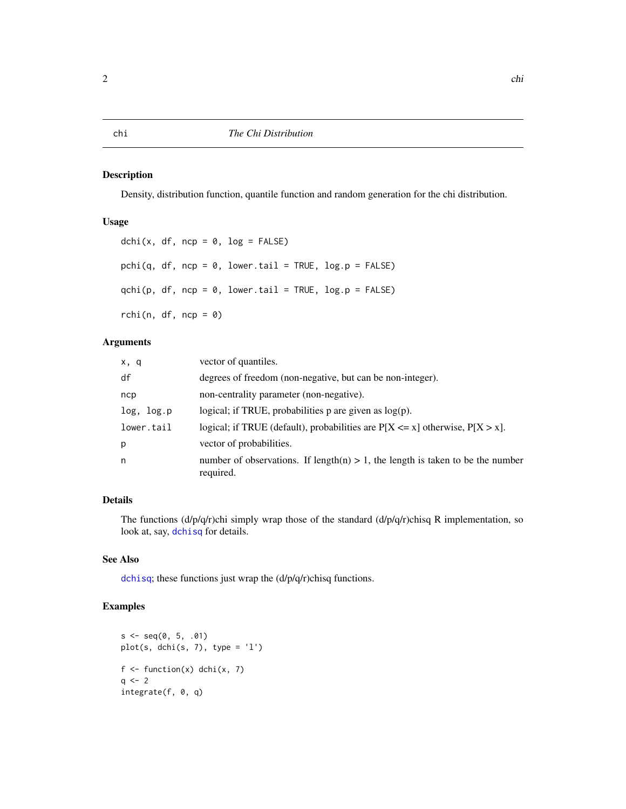#### <span id="page-1-1"></span><span id="page-1-0"></span>Description

Density, distribution function, quantile function and random generation for the chi distribution.

#### Usage

```
dchi(x, df, ncp = 0, log = FALSE)
pchi(q, df, ncp = 0, lower.tail = TRUE, log.p = FALSE)
qchi(p, df, ncp = 0, lowertail = TRUE, log.p = FALSE)rchi(n, df, ncp = 0)
```
#### Arguments

| x, q       | vector of quantiles.                                                                           |  |  |  |
|------------|------------------------------------------------------------------------------------------------|--|--|--|
| df         | degrees of freedom (non-negative, but can be non-integer).                                     |  |  |  |
| ncp        | non-centrality parameter (non-negative).                                                       |  |  |  |
| log, log.p | logical; if TRUE, probabilities $p$ are given as $log(p)$ .                                    |  |  |  |
| lower.tail | logical; if TRUE (default), probabilities are $P[X \le x]$ otherwise, $P[X > x]$ .             |  |  |  |
| р          | vector of probabilities.                                                                       |  |  |  |
| n          | number of observations. If length(n) $> 1$ , the length is taken to be the number<br>required. |  |  |  |

#### Details

The functions  $\frac{d}{p}\left(\frac{d}{p}\right)$ chi simply wrap those of the standard  $\frac{d}{p}\left(\frac{d}{p}\right)$ chisq R implementation, so look at, say, [dchisq](#page-0-0) for details.

#### See Also

[dchisq](#page-0-0); these functions just wrap the (d/p/q/r)chisq functions.

#### Examples

```
s \leq -seq(0, 5, .01)plot(s, dchi(s, 7), type = 'l')
f \leftarrow function(x) dchi(x, 7)
q \leq -2integrate(f, 0, q)
```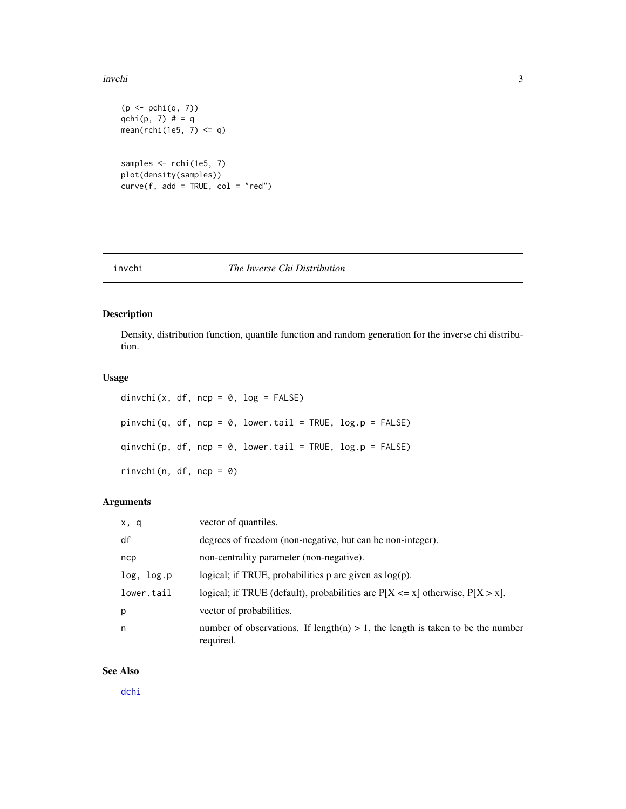#### <span id="page-2-0"></span>invchi 3

```
(p \leftarrow \text{pchi}(q, 7))qchi(p, 7) # = q
mean(rchi(1e5, 7) <= q)
samples <- rchi(1e5, 7)
plot(density(samples))
curve(f, add = TRUE, col = "red")
```
#### invchi *The Inverse Chi Distribution*

#### Description

Density, distribution function, quantile function and random generation for the inverse chi distribution.

#### Usage

dinvchi(x, df, ncp =  $0$ , log = FALSE)  $pinvchi(q, df, ncp = 0, lower.tail = TRUE, log.p = FALSE)$  $qinvchi(p, df, ncp = 0, lower.tail = TRUE, log.p = FALSE)$  $rinvchi(n, df, ncp = 0)$ 

#### Arguments

| x, q       | vector of quantiles.                                                                           |
|------------|------------------------------------------------------------------------------------------------|
| df         | degrees of freedom (non-negative, but can be non-integer).                                     |
| ncp        | non-centrality parameter (non-negative).                                                       |
| log, log.p | logical; if TRUE, probabilities $p$ are given as $log(p)$ .                                    |
| lower.tail | logical; if TRUE (default), probabilities are $P[X \le x]$ otherwise, $P[X > x]$ .             |
| p          | vector of probabilities.                                                                       |
| n          | number of observations. If length(n) $> 1$ , the length is taken to be the number<br>required. |

#### See Also

[dchi](#page-1-1)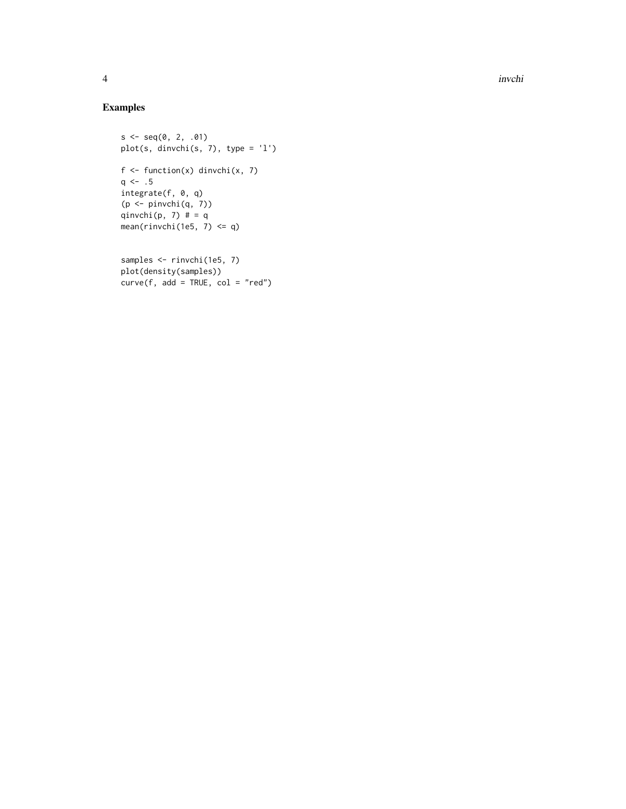### Examples

```
s < -seq(0, 2, .01)plot(s, dinvchi(s, 7), type = 'l')
f \leftarrow function(x) dinvchi(x, 7)q \le -1.5integrate(f, 0, q)
(p <- pinvchi(q, 7))
qinvchi(p, 7) # = qmean(rinvchi(1e5, 7) <= q)
samples <- rinvchi(1e5, 7)
```

```
plot(density(samples))
curve(f, add = TRUE, col = "red")
```